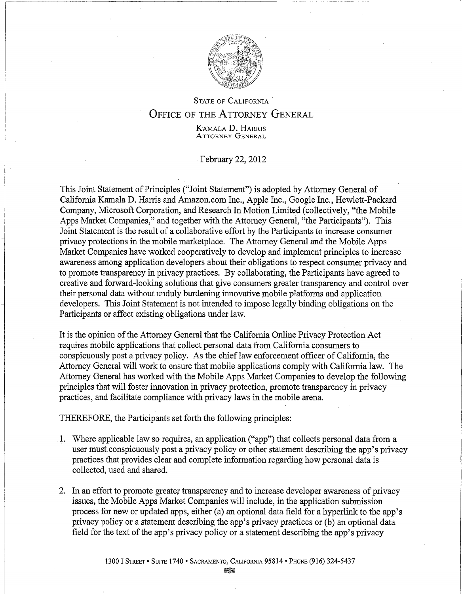

## STATE OF CALIFORNIA OFFICE OF THE ATTORNEY GENERAL

K'AMALA D. HARRIS ATTORNEY GENERAL

February 22, 2012

This Joint Statement of Principles ("Joint Statement") is adopted by Attorney General of California Kamala D. Harris and Amazon. com Inc., Apple Inc., Google Inc., Hewlett-Packard Company, Microsoft Corporation, and Research In Motion Limited (collectively, "the Mobile Apps Market Companies," and together with the Attorney General, "the Participants"). This Joint Statement is the result of a collaborative effort by the Participants to increase consumer privacy protections in the mobile marketplace. The Attorney General and the Mobile Apps Market Companies have worked cooperatively to develop and implement principles to increase awareness among application developers about their obligations to respect consumer privacy and to promote transparency in privacy practices. By collaborating, the Participants have agreed to creative and forward-looking solutions that give consumers greater transparency and control over their personal data without unduly burdening innovative mobile platforms and application developers. This Joint Statement is not intended to impose legally binding obligations on the Participants or affect existing obligations under law.

It is the opinion ofthe Attorney General that the California Online Privacy Protection Act requires mobile applications that collect personal data from California consumers to conspicuously post a privacy policy. As the chief law enforcement officer of California, the Attorney General will work to ensure that mobile applications comply with California law. The Attorney General has worked with the Mobile Apps Market Companies to develop the following principles that will foster innovation in privacy protection, promote transparency in privacy practices, and facilitate compliance with privacy laws in the mobile arena.

THEREFORE, the Participants set forth the following principles:

- .1. Where applicable law so requires, an application ("app") that collects personal data from a user must conspicuously post a privacy policy or other statement describing the app's privacy practices that provides clear and complete information regarding how personal data is collected, used and shared.
- 2. In an effort to promote greater transparency and to increase developer awareness of privacy issues, the Mobile Apps Market Companies will include, in the application submission process for new or updated apps, either (a) an optional data field for a hyperlink to the app's privacy policy or a statement describing the app's privacy practices or (b) an optional data field for the text of the app's privacy policy or a statement describing the app's privacy

~